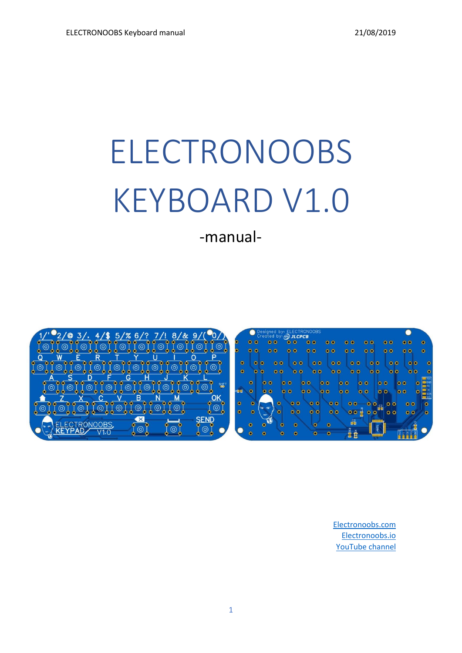# ELECTRONOOBS KEYBOARD V1.0

-manual-





[Electronoobs.com](https://electronoobs.com/) [Electronoobs.io](https://electronoobs.io/) [YouTube](https://www.youtube.com/channel/UCjiVhIvGmRZixSzupD0sS9Q) channel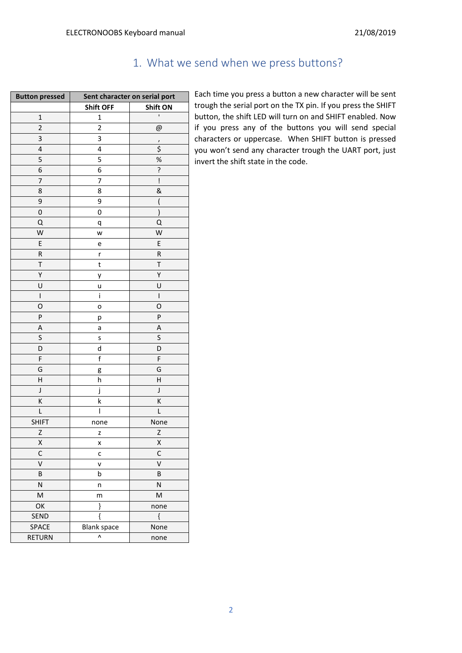# 1. What we send when we press buttons?

| <b>Button pressed</b>   | Sent character on serial port |                                                                                                                                    |
|-------------------------|-------------------------------|------------------------------------------------------------------------------------------------------------------------------------|
|                         | <b>Shift OFF</b>              | <b>Shift ON</b>                                                                                                                    |
| $\mathbf{1}$            | $\mathbf 1$                   | ı                                                                                                                                  |
| $\overline{2}$          | $\overline{2}$                | @                                                                                                                                  |
| 3                       | 3                             | $\prime$                                                                                                                           |
| 4                       | 4                             | \$                                                                                                                                 |
| 5                       | 5                             | $% \mathcal{B}_{\mathrm{H}}\left( \mathcal{B}_{\mathrm{H}}\right) =\mathcal{B}_{\mathrm{H}}\left( \mathcal{B}_{\mathrm{H}}\right)$ |
| 6                       | 6                             | ?                                                                                                                                  |
| 7                       | 7                             | ļ                                                                                                                                  |
| 8                       | 8                             | &                                                                                                                                  |
| 9                       | 9                             | (                                                                                                                                  |
| 0                       | 0                             | $\mathcal{E}$                                                                                                                      |
| Q                       | q                             | Q                                                                                                                                  |
| W                       | W                             | W                                                                                                                                  |
| E                       | e                             | E                                                                                                                                  |
| R                       | r                             | ${\sf R}$                                                                                                                          |
| T                       | t                             | T                                                                                                                                  |
| Υ                       | у                             | Υ                                                                                                                                  |
| U                       | u                             | U                                                                                                                                  |
| $\sf I$                 | i                             | $\sf I$                                                                                                                            |
| 0                       | o                             | O                                                                                                                                  |
| P                       | р                             | P                                                                                                                                  |
| Α                       | a                             | Α                                                                                                                                  |
| S                       | S                             | S                                                                                                                                  |
| D                       | d                             | D                                                                                                                                  |
| F                       | $\mathsf f$                   | F                                                                                                                                  |
| G                       | g                             | G                                                                                                                                  |
| H                       | h                             | Н                                                                                                                                  |
| J                       | j                             | J                                                                                                                                  |
| K                       | k                             | K                                                                                                                                  |
| L                       | $\overline{1}$                | L                                                                                                                                  |
| <b>SHIFT</b>            | none                          | None                                                                                                                               |
| Z                       | Z                             | Z                                                                                                                                  |
| X                       | X                             | X                                                                                                                                  |
| C                       | С                             | C                                                                                                                                  |
| $\overline{\mathsf{v}}$ | v                             | $\overline{\mathsf{v}}$                                                                                                            |
| B                       | b                             | B                                                                                                                                  |
| N                       | n                             | N                                                                                                                                  |
| M                       | m                             | M                                                                                                                                  |
| OK                      | }                             | none                                                                                                                               |
| SEND                    | $\{$                          | $\{$                                                                                                                               |
| SPACE                   | <b>Blank space</b>            | None                                                                                                                               |
| <b>RETURN</b>           | ٨                             | none                                                                                                                               |

Each time you press a button a new character will be sent trough the serial port on the TX pin. If you press the SHIFT button, the shift LED will turn on and SHIFT enabled. Now if you press any of the buttons you will send special characters or uppercase. When SHIFT button is pressed you won't send any character trough the UART port, just invert the shift state in the code.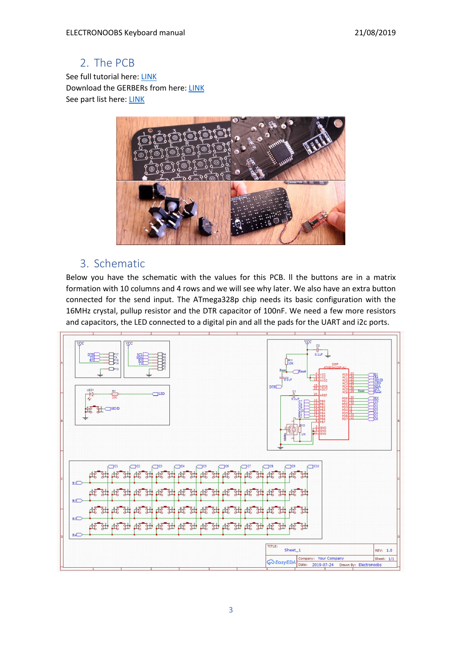## 2. The PCB

See full tutorial here: [LINK](http://electronoobs.com/eng_arduino_tut103.php) Download the GERBERs from here: [LINK](http://electronoobs.com/eng_arduino_tut103_gerber1.php) See part list here: [LINK](http://electronoobs.com/eng_arduino_tut103_parts1.php)



## 3. Schematic

Below you have the schematic with the values for this PCB. ll the buttons are in a matrix formation with 10 columns and 4 rows and we will see why later. We also have an extra button connected for the send input. The ATmega328p chip needs its basic configuration with the 16MHz crystal, pullup resistor and the DTR capacitor of 100nF. We need a few more resistors and capacitors, the LED connected to a digital pin and all the pads for the UART and i2c ports.

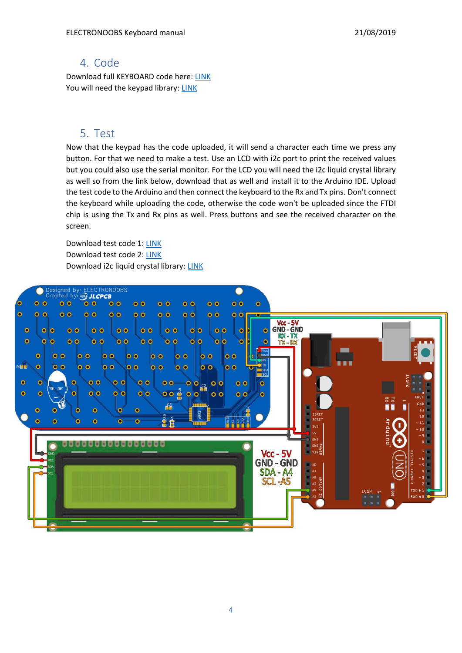#### 4. Code

Download full KEYBOARD code here: [LINK](http://electronoobs.com/eng_arduino_tut103_code1.php) You will need the keypad library: [LINK](http://electronoobs.com/eng_Arduino_Adafruit_Keypad.php)

### 5. Test

Now that the keypad has the code uploaded, it will send a character each time we press any button. For that we need to make a test. Use an LCD with i2c port to print the received values but you could also use the serial monitor. For the LCD you will need the i2c liquid crystal library as well so from the link below, download that as well and install it to the Arduino IDE. Upload the test code to the Arduino and then connect the keyboard to the Rx and Tx pins. Don't connect the keyboard while uploading the code, otherwise the code won't be uploaded since the FTDI chip is using the Tx and Rx pins as well. Press buttons and see the received character on the screen.

Download test code 1: [LINK](http://electronoobs.com/eng_arduino_tut103_code2.php) Download test code 2: [LINK](http://electronoobs.com/eng_arduino_tut103_code3.php) Download i2c liquid crystal library[: LINK](http://electronoobs.com/eng_arduino_liq_crystal.php)